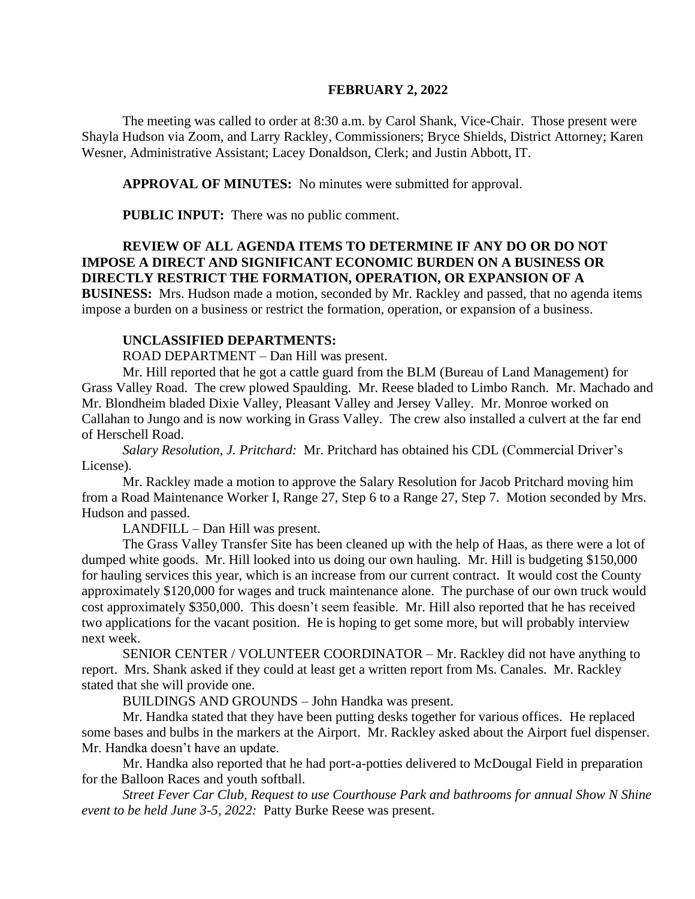### **FEBRUARY 2, 2022**

The meeting was called to order at 8:30 a.m. by Carol Shank, Vice-Chair. Those present were Shayla Hudson via Zoom, and Larry Rackley, Commissioners; Bryce Shields, District Attorney; Karen Wesner, Administrative Assistant; Lacey Donaldson, Clerk; and Justin Abbott, IT.

**APPROVAL OF MINUTES:** No minutes were submitted for approval.

**PUBLIC INPUT:** There was no public comment.

# **REVIEW OF ALL AGENDA ITEMS TO DETERMINE IF ANY DO OR DO NOT IMPOSE A DIRECT AND SIGNIFICANT ECONOMIC BURDEN ON A BUSINESS OR DIRECTLY RESTRICT THE FORMATION, OPERATION, OR EXPANSION OF A**

**BUSINESS:** Mrs. Hudson made a motion, seconded by Mr. Rackley and passed, that no agenda items impose a burden on a business or restrict the formation, operation, or expansion of a business.

## **UNCLASSIFIED DEPARTMENTS:**

ROAD DEPARTMENT – Dan Hill was present.

Mr. Hill reported that he got a cattle guard from the BLM (Bureau of Land Management) for Grass Valley Road. The crew plowed Spaulding. Mr. Reese bladed to Limbo Ranch. Mr. Machado and Mr. Blondheim bladed Dixie Valley, Pleasant Valley and Jersey Valley. Mr. Monroe worked on Callahan to Jungo and is now working in Grass Valley. The crew also installed a culvert at the far end of Herschell Road.

*Salary Resolution, J. Pritchard:* Mr. Pritchard has obtained his CDL (Commercial Driver's License).

Mr. Rackley made a motion to approve the Salary Resolution for Jacob Pritchard moving him from a Road Maintenance Worker I, Range 27, Step 6 to a Range 27, Step 7. Motion seconded by Mrs. Hudson and passed.

LANDFILL – Dan Hill was present.

The Grass Valley Transfer Site has been cleaned up with the help of Haas, as there were a lot of dumped white goods. Mr. Hill looked into us doing our own hauling. Mr. Hill is budgeting \$150,000 for hauling services this year, which is an increase from our current contract. It would cost the County approximately \$120,000 for wages and truck maintenance alone. The purchase of our own truck would cost approximately \$350,000. This doesn't seem feasible. Mr. Hill also reported that he has received two applications for the vacant position. He is hoping to get some more, but will probably interview next week.

SENIOR CENTER / VOLUNTEER COORDINATOR – Mr. Rackley did not have anything to report. Mrs. Shank asked if they could at least get a written report from Ms. Canales. Mr. Rackley stated that she will provide one.

BUILDINGS AND GROUNDS – John Handka was present.

Mr. Handka stated that they have been putting desks together for various offices. He replaced some bases and bulbs in the markers at the Airport. Mr. Rackley asked about the Airport fuel dispenser. Mr. Handka doesn't have an update.

Mr. Handka also reported that he had port-a-potties delivered to McDougal Field in preparation for the Balloon Races and youth softball.

*Street Fever Car Club, Request to use Courthouse Park and bathrooms for annual Show N Shine event to be held June 3-5, 2022:* Patty Burke Reese was present.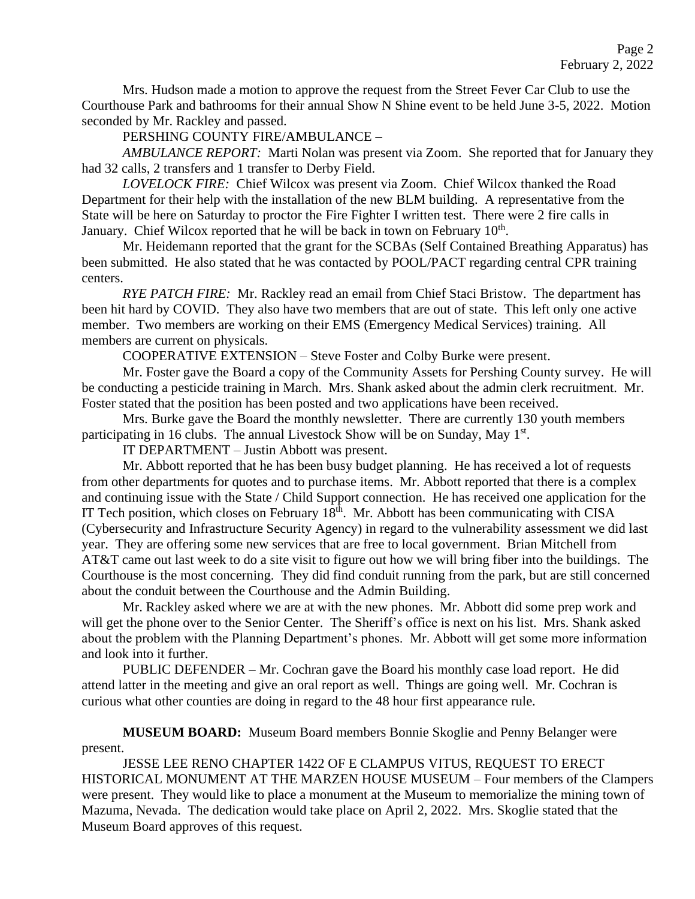Mrs. Hudson made a motion to approve the request from the Street Fever Car Club to use the Courthouse Park and bathrooms for their annual Show N Shine event to be held June 3-5, 2022. Motion seconded by Mr. Rackley and passed.

PERSHING COUNTY FIRE/AMBULANCE –

*AMBULANCE REPORT:* Marti Nolan was present via Zoom. She reported that for January they had 32 calls, 2 transfers and 1 transfer to Derby Field.

*LOVELOCK FIRE:* Chief Wilcox was present via Zoom. Chief Wilcox thanked the Road Department for their help with the installation of the new BLM building. A representative from the State will be here on Saturday to proctor the Fire Fighter I written test. There were 2 fire calls in January. Chief Wilcox reported that he will be back in town on February 10<sup>th</sup>.

Mr. Heidemann reported that the grant for the SCBAs (Self Contained Breathing Apparatus) has been submitted. He also stated that he was contacted by POOL/PACT regarding central CPR training centers.

*RYE PATCH FIRE:* Mr. Rackley read an email from Chief Staci Bristow. The department has been hit hard by COVID. They also have two members that are out of state. This left only one active member. Two members are working on their EMS (Emergency Medical Services) training. All members are current on physicals.

COOPERATIVE EXTENSION – Steve Foster and Colby Burke were present.

Mr. Foster gave the Board a copy of the Community Assets for Pershing County survey. He will be conducting a pesticide training in March. Mrs. Shank asked about the admin clerk recruitment. Mr. Foster stated that the position has been posted and two applications have been received.

Mrs. Burke gave the Board the monthly newsletter. There are currently 130 youth members participating in 16 clubs. The annual Livestock Show will be on Sunday, May 1<sup>st</sup>.

IT DEPARTMENT – Justin Abbott was present.

Mr. Abbott reported that he has been busy budget planning. He has received a lot of requests from other departments for quotes and to purchase items. Mr. Abbott reported that there is a complex and continuing issue with the State / Child Support connection. He has received one application for the IT Tech position, which closes on February  $18<sup>th</sup>$ . Mr. Abbott has been communicating with CISA (Cybersecurity and Infrastructure Security Agency) in regard to the vulnerability assessment we did last year. They are offering some new services that are free to local government. Brian Mitchell from AT&T came out last week to do a site visit to figure out how we will bring fiber into the buildings. The Courthouse is the most concerning. They did find conduit running from the park, but are still concerned about the conduit between the Courthouse and the Admin Building.

Mr. Rackley asked where we are at with the new phones. Mr. Abbott did some prep work and will get the phone over to the Senior Center. The Sheriff's office is next on his list. Mrs. Shank asked about the problem with the Planning Department's phones. Mr. Abbott will get some more information and look into it further.

PUBLIC DEFENDER – Mr. Cochran gave the Board his monthly case load report. He did attend latter in the meeting and give an oral report as well. Things are going well. Mr. Cochran is curious what other counties are doing in regard to the 48 hour first appearance rule.

**MUSEUM BOARD:** Museum Board members Bonnie Skoglie and Penny Belanger were present.

JESSE LEE RENO CHAPTER 1422 OF E CLAMPUS VITUS, REQUEST TO ERECT HISTORICAL MONUMENT AT THE MARZEN HOUSE MUSEUM – Four members of the Clampers were present. They would like to place a monument at the Museum to memorialize the mining town of Mazuma, Nevada. The dedication would take place on April 2, 2022. Mrs. Skoglie stated that the Museum Board approves of this request.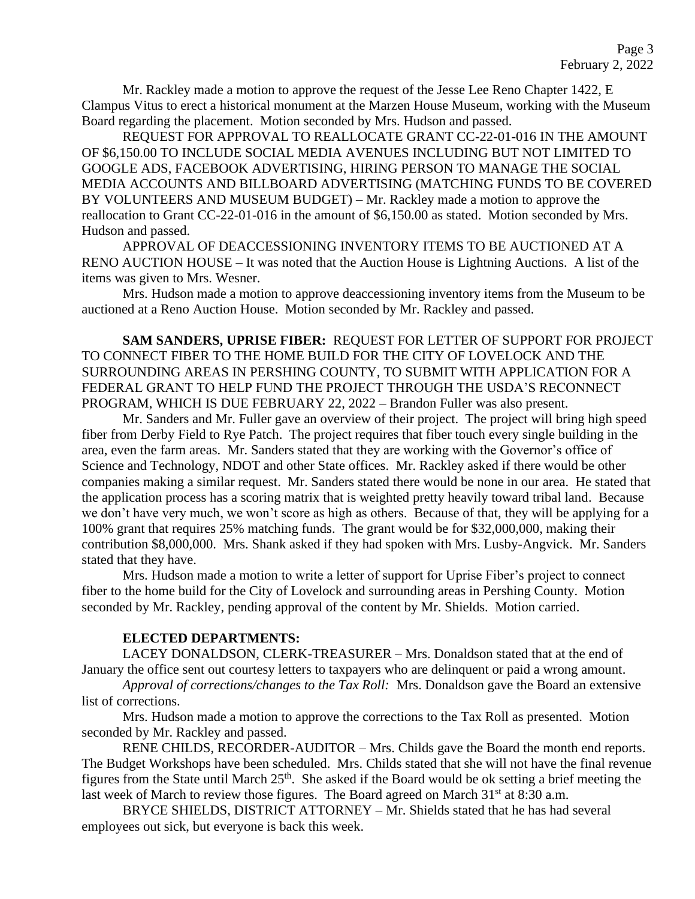Mr. Rackley made a motion to approve the request of the Jesse Lee Reno Chapter 1422, E Clampus Vitus to erect a historical monument at the Marzen House Museum, working with the Museum Board regarding the placement. Motion seconded by Mrs. Hudson and passed.

REQUEST FOR APPROVAL TO REALLOCATE GRANT CC-22-01-016 IN THE AMOUNT OF \$6,150.00 TO INCLUDE SOCIAL MEDIA AVENUES INCLUDING BUT NOT LIMITED TO GOOGLE ADS, FACEBOOK ADVERTISING, HIRING PERSON TO MANAGE THE SOCIAL MEDIA ACCOUNTS AND BILLBOARD ADVERTISING (MATCHING FUNDS TO BE COVERED BY VOLUNTEERS AND MUSEUM BUDGET) – Mr. Rackley made a motion to approve the reallocation to Grant CC-22-01-016 in the amount of \$6,150.00 as stated. Motion seconded by Mrs. Hudson and passed.

APPROVAL OF DEACCESSIONING INVENTORY ITEMS TO BE AUCTIONED AT A RENO AUCTION HOUSE – It was noted that the Auction House is Lightning Auctions. A list of the items was given to Mrs. Wesner.

Mrs. Hudson made a motion to approve deaccessioning inventory items from the Museum to be auctioned at a Reno Auction House. Motion seconded by Mr. Rackley and passed.

**SAM SANDERS, UPRISE FIBER:** REQUEST FOR LETTER OF SUPPORT FOR PROJECT TO CONNECT FIBER TO THE HOME BUILD FOR THE CITY OF LOVELOCK AND THE SURROUNDING AREAS IN PERSHING COUNTY, TO SUBMIT WITH APPLICATION FOR A FEDERAL GRANT TO HELP FUND THE PROJECT THROUGH THE USDA'S RECONNECT PROGRAM, WHICH IS DUE FEBRUARY 22, 2022 – Brandon Fuller was also present.

Mr. Sanders and Mr. Fuller gave an overview of their project. The project will bring high speed fiber from Derby Field to Rye Patch. The project requires that fiber touch every single building in the area, even the farm areas. Mr. Sanders stated that they are working with the Governor's office of Science and Technology, NDOT and other State offices. Mr. Rackley asked if there would be other companies making a similar request. Mr. Sanders stated there would be none in our area. He stated that the application process has a scoring matrix that is weighted pretty heavily toward tribal land. Because we don't have very much, we won't score as high as others. Because of that, they will be applying for a 100% grant that requires 25% matching funds. The grant would be for \$32,000,000, making their contribution \$8,000,000. Mrs. Shank asked if they had spoken with Mrs. Lusby-Angvick. Mr. Sanders stated that they have.

Mrs. Hudson made a motion to write a letter of support for Uprise Fiber's project to connect fiber to the home build for the City of Lovelock and surrounding areas in Pershing County. Motion seconded by Mr. Rackley, pending approval of the content by Mr. Shields. Motion carried.

### **ELECTED DEPARTMENTS:**

LACEY DONALDSON, CLERK-TREASURER – Mrs. Donaldson stated that at the end of January the office sent out courtesy letters to taxpayers who are delinquent or paid a wrong amount.

*Approval of corrections/changes to the Tax Roll:* Mrs. Donaldson gave the Board an extensive list of corrections.

Mrs. Hudson made a motion to approve the corrections to the Tax Roll as presented. Motion seconded by Mr. Rackley and passed.

RENE CHILDS, RECORDER-AUDITOR – Mrs. Childs gave the Board the month end reports. The Budget Workshops have been scheduled. Mrs. Childs stated that she will not have the final revenue figures from the State until March 25<sup>th</sup>. She asked if the Board would be ok setting a brief meeting the last week of March to review those figures. The Board agreed on March  $31<sup>st</sup>$  at 8:30 a.m.

BRYCE SHIELDS, DISTRICT ATTORNEY – Mr. Shields stated that he has had several employees out sick, but everyone is back this week.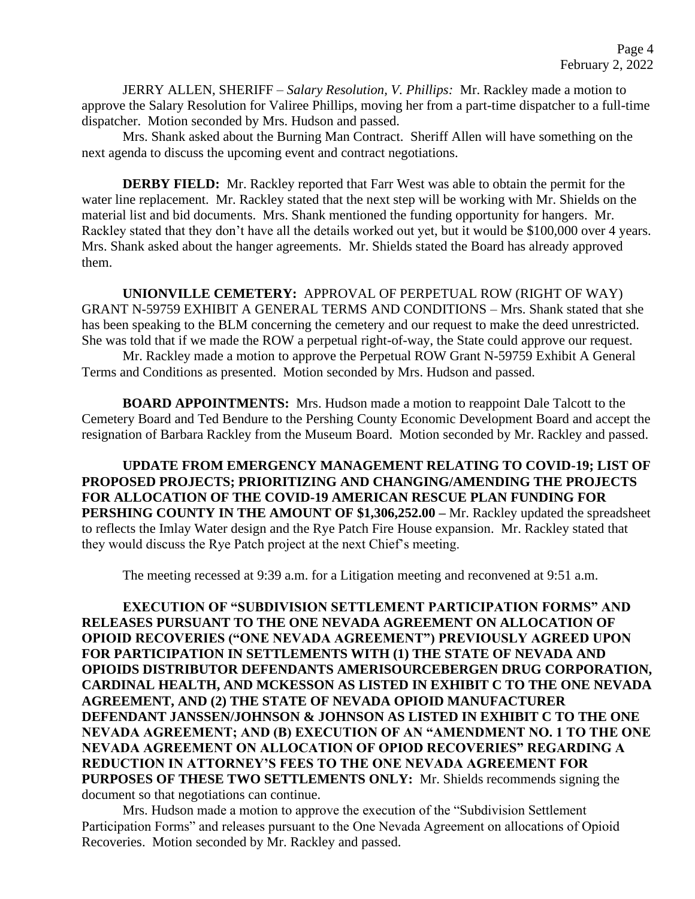JERRY ALLEN, SHERIFF – *Salary Resolution, V. Phillips:* Mr. Rackley made a motion to approve the Salary Resolution for Valiree Phillips, moving her from a part-time dispatcher to a full-time dispatcher. Motion seconded by Mrs. Hudson and passed.

Mrs. Shank asked about the Burning Man Contract. Sheriff Allen will have something on the next agenda to discuss the upcoming event and contract negotiations.

**DERBY FIELD:** Mr. Rackley reported that Farr West was able to obtain the permit for the water line replacement. Mr. Rackley stated that the next step will be working with Mr. Shields on the material list and bid documents. Mrs. Shank mentioned the funding opportunity for hangers. Mr. Rackley stated that they don't have all the details worked out yet, but it would be \$100,000 over 4 years. Mrs. Shank asked about the hanger agreements. Mr. Shields stated the Board has already approved them.

**UNIONVILLE CEMETERY:** APPROVAL OF PERPETUAL ROW (RIGHT OF WAY) GRANT N-59759 EXHIBIT A GENERAL TERMS AND CONDITIONS – Mrs. Shank stated that she has been speaking to the BLM concerning the cemetery and our request to make the deed unrestricted. She was told that if we made the ROW a perpetual right-of-way, the State could approve our request.

Mr. Rackley made a motion to approve the Perpetual ROW Grant N-59759 Exhibit A General Terms and Conditions as presented. Motion seconded by Mrs. Hudson and passed.

 **BOARD APPOINTMENTS:** Mrs. Hudson made a motion to reappoint Dale Talcott to the Cemetery Board and Ted Bendure to the Pershing County Economic Development Board and accept the resignation of Barbara Rackley from the Museum Board. Motion seconded by Mr. Rackley and passed.

**UPDATE FROM EMERGENCY MANAGEMENT RELATING TO COVID-19; LIST OF PROPOSED PROJECTS; PRIORITIZING AND CHANGING/AMENDING THE PROJECTS FOR ALLOCATION OF THE COVID-19 AMERICAN RESCUE PLAN FUNDING FOR PERSHING COUNTY IN THE AMOUNT OF \$1,306,252.00 –** Mr. Rackley updated the spreadsheet to reflects the Imlay Water design and the Rye Patch Fire House expansion. Mr. Rackley stated that they would discuss the Rye Patch project at the next Chief's meeting.

The meeting recessed at 9:39 a.m. for a Litigation meeting and reconvened at 9:51 a.m.

**EXECUTION OF "SUBDIVISION SETTLEMENT PARTICIPATION FORMS" AND RELEASES PURSUANT TO THE ONE NEVADA AGREEMENT ON ALLOCATION OF OPIOID RECOVERIES ("ONE NEVADA AGREEMENT") PREVIOUSLY AGREED UPON FOR PARTICIPATION IN SETTLEMENTS WITH (1) THE STATE OF NEVADA AND OPIOIDS DISTRIBUTOR DEFENDANTS AMERISOURCEBERGEN DRUG CORPORATION, CARDINAL HEALTH, AND MCKESSON AS LISTED IN EXHIBIT C TO THE ONE NEVADA AGREEMENT, AND (2) THE STATE OF NEVADA OPIOID MANUFACTURER DEFENDANT JANSSEN/JOHNSON & JOHNSON AS LISTED IN EXHIBIT C TO THE ONE NEVADA AGREEMENT; AND (B) EXECUTION OF AN "AMENDMENT NO. 1 TO THE ONE NEVADA AGREEMENT ON ALLOCATION OF OPIOD RECOVERIES" REGARDING A REDUCTION IN ATTORNEY'S FEES TO THE ONE NEVADA AGREEMENT FOR PURPOSES OF THESE TWO SETTLEMENTS ONLY:** Mr. Shields recommends signing the document so that negotiations can continue.

Mrs. Hudson made a motion to approve the execution of the "Subdivision Settlement Participation Forms" and releases pursuant to the One Nevada Agreement on allocations of Opioid Recoveries. Motion seconded by Mr. Rackley and passed.